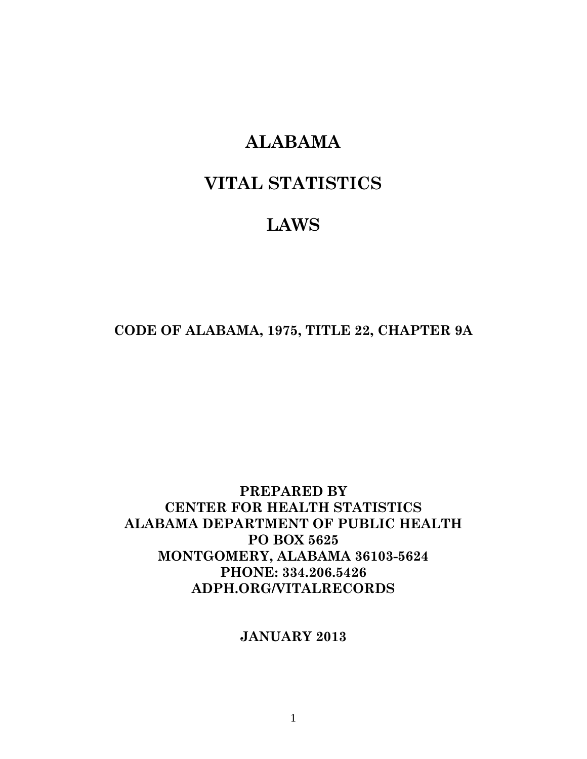## **ALABAMA**

# **VITAL STATISTICS**

# **LAWS**

**CODE OF ALABAMA, 1975, TITLE 22, CHAPTER 9A** 

### **PREPARED BY CENTER FOR HEALTH STATISTICS ALABAMA DEPARTMENT OF PUBLIC HEALTH PO BOX 5625 MONTGOMERY, ALABAMA 36103-5624 PHONE: 334.206.5426 ADPH.ORG/VITALRECORDS**

### **JANUARY 2013**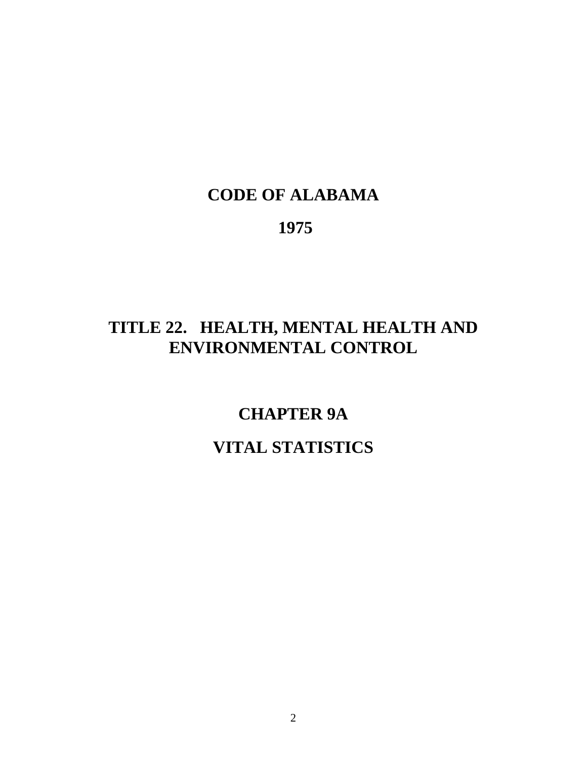# **CODE OF ALABAMA**

 **1975** 

# **TITLE 22. HEALTH, MENTAL HEALTH AND ENVIRONMENTAL CONTROL**

**CHAPTER 9A VITAL STATISTICS**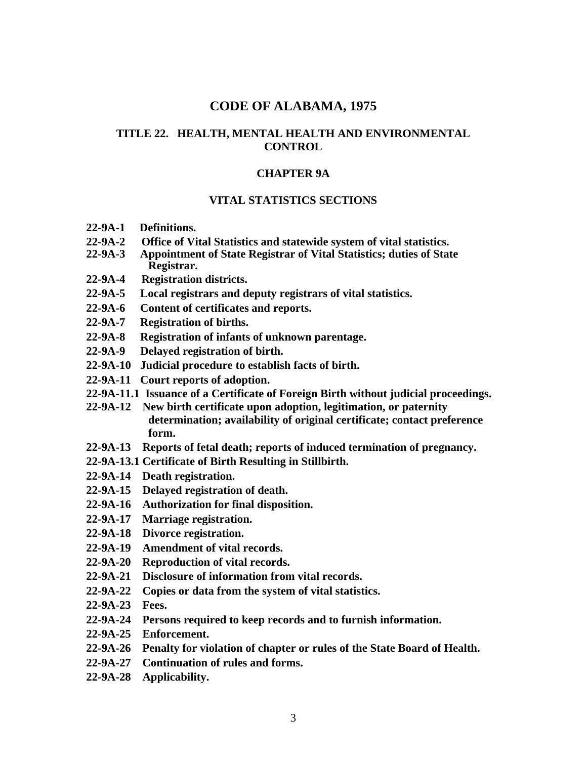#### **CODE OF ALABAMA, 1975**

#### **TITLE 22. HEALTH, MENTAL HEALTH AND ENVIRONMENTAL CONTROL**

#### **CHAPTER 9A**

#### **VITAL STATISTICS SECTIONS**

- **22-9A-1 Definitions.**
- **22-9A-2 Office of Vital Statistics and statewide system of vital statistics.**
- **22-9A-3 Appointment of State Registrar of Vital Statistics; duties of State Registrar.**
- **22-9A-4 Registration districts.**
- **22-9A-5 Local registrars and deputy registrars of vital statistics.**
- **22-9A-6 Content of certificates and reports.**
- **22-9A-7 Registration of births.**
- **22-9A-8 Registration of infants of unknown parentage.**
- **22-9A-9 Delayed registration of birth.**
- **22-9A-10 Judicial procedure to establish facts of birth.**
- **22-9A-11 Court reports of adoption.**
- **22-9A-11.1 Issuance of a Certificate of Foreign Birth without judicial proceedings.**
- **22-9A-12 New birth certificate upon adoption, legitimation, or paternity determination; availability of original certificate; contact preference form.**
- **22-9A-13 Reports of fetal death; reports of induced termination of pregnancy.**
- **22-9A-13.1 Certificate of Birth Resulting in Stillbirth.**
- **22-9A-14 Death registration.**
- **22-9A-15 Delayed registration of death.**
- **22-9A-16 Authorization for final disposition.**
- **22-9A-17 Marriage registration.**
- **22-9A-18 Divorce registration.**
- **22-9A-19 Amendment of vital records.**
- **22-9A-20 Reproduction of vital records.**
- **22-9A-21 Disclosure of information from vital records.**
- **22-9A-22 Copies or data from the system of vital statistics.**
- **22-9A-23 Fees.**
- **22-9A-24 Persons required to keep records and to furnish information.**
- **22-9A-25 Enforcement.**
- **22-9A-26 Penalty for violation of chapter or rules of the State Board of Health.**
- **22-9A-27 Continuation of rules and forms.**
- **22-9A-28 Applicability.**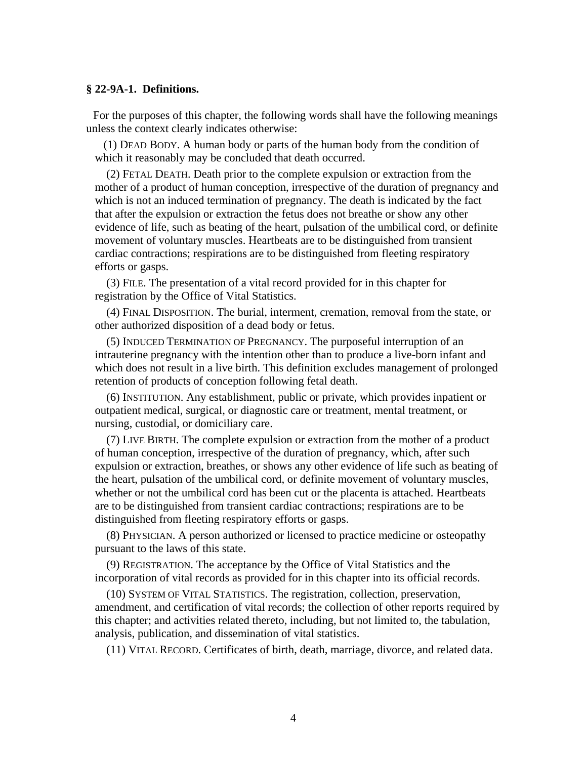#### **§ 22-9A-1. Definitions.**

For the purposes of this chapter, the following words shall have the following meanings unless the context clearly indicates otherwise:

(1) DEAD BODY. A human body or parts of the human body from the condition of which it reasonably may be concluded that death occurred.

 (2) FETAL DEATH. Death prior to the complete expulsion or extraction from the mother of a product of human conception, irrespective of the duration of pregnancy and which is not an induced termination of pregnancy. The death is indicated by the fact that after the expulsion or extraction the fetus does not breathe or show any other evidence of life, such as beating of the heart, pulsation of the umbilical cord, or definite movement of voluntary muscles. Heartbeats are to be distinguished from transient cardiac contractions; respirations are to be distinguished from fleeting respiratory efforts or gasps.

 (3) FILE. The presentation of a vital record provided for in this chapter for registration by the Office of Vital Statistics.

 (4) FINAL DISPOSITION. The burial, interment, cremation, removal from the state, or other authorized disposition of a dead body or fetus.

 (5) INDUCED TERMINATION OF PREGNANCY. The purposeful interruption of an intrauterine pregnancy with the intention other than to produce a live-born infant and which does not result in a live birth. This definition excludes management of prolonged retention of products of conception following fetal death.

 (6) INSTITUTION. Any establishment, public or private, which provides inpatient or outpatient medical, surgical, or diagnostic care or treatment, mental treatment, or nursing, custodial, or domiciliary care.

 (7) LIVE BIRTH. The complete expulsion or extraction from the mother of a product of human conception, irrespective of the duration of pregnancy, which, after such expulsion or extraction, breathes, or shows any other evidence of life such as beating of the heart, pulsation of the umbilical cord, or definite movement of voluntary muscles, whether or not the umbilical cord has been cut or the placenta is attached. Heartbeats are to be distinguished from transient cardiac contractions; respirations are to be distinguished from fleeting respiratory efforts or gasps.

 (8) PHYSICIAN. A person authorized or licensed to practice medicine or osteopathy pursuant to the laws of this state.

 (9) REGISTRATION. The acceptance by the Office of Vital Statistics and the incorporation of vital records as provided for in this chapter into its official records.

 (10) SYSTEM OF VITAL STATISTICS. The registration, collection, preservation, amendment, and certification of vital records; the collection of other reports required by this chapter; and activities related thereto, including, but not limited to, the tabulation, analysis, publication, and dissemination of vital statistics.

(11) VITAL RECORD. Certificates of birth, death, marriage, divorce, and related data.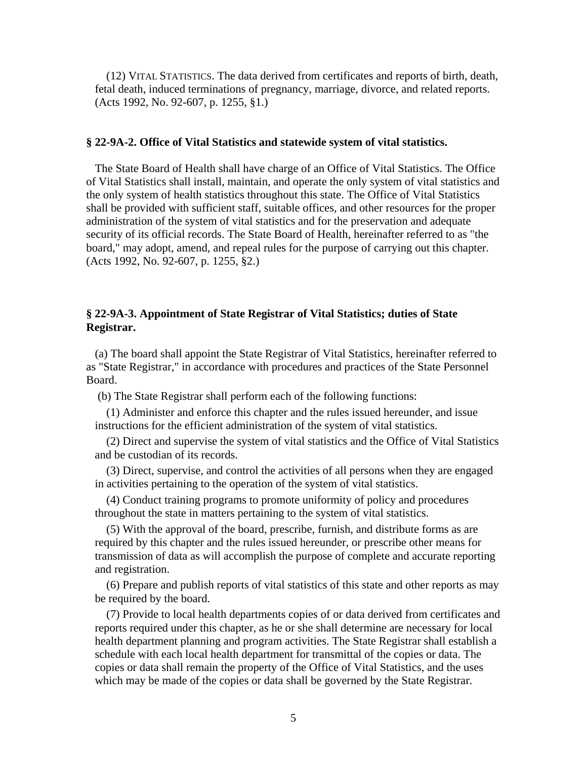(12) VITAL STATISTICS. The data derived from certificates and reports of birth, death, fetal death, induced terminations of pregnancy, marriage, divorce, and related reports. (Acts 1992, No. 92-607, p. 1255, §1.)

#### **§ 22-9A-2. Office of Vital Statistics and statewide system of vital statistics.**

The State Board of Health shall have charge of an Office of Vital Statistics. The Office of Vital Statistics shall install, maintain, and operate the only system of vital statistics and the only system of health statistics throughout this state. The Office of Vital Statistics shall be provided with sufficient staff, suitable offices, and other resources for the proper administration of the system of vital statistics and for the preservation and adequate security of its official records. The State Board of Health, hereinafter referred to as "the board," may adopt, amend, and repeal rules for the purpose of carrying out this chapter. (Acts 1992, No. 92-607, p. 1255, §2.)

#### **§ 22-9A-3. Appointment of State Registrar of Vital Statistics; duties of State Registrar.**

(a) The board shall appoint the State Registrar of Vital Statistics, hereinafter referred to as "State Registrar," in accordance with procedures and practices of the State Personnel Board.

(b) The State Registrar shall perform each of the following functions:

 (1) Administer and enforce this chapter and the rules issued hereunder, and issue instructions for the efficient administration of the system of vital statistics.

 (2) Direct and supervise the system of vital statistics and the Office of Vital Statistics and be custodian of its records.

 (3) Direct, supervise, and control the activities of all persons when they are engaged in activities pertaining to the operation of the system of vital statistics.

 (4) Conduct training programs to promote uniformity of policy and procedures throughout the state in matters pertaining to the system of vital statistics.

 (5) With the approval of the board, prescribe, furnish, and distribute forms as are required by this chapter and the rules issued hereunder, or prescribe other means for transmission of data as will accomplish the purpose of complete and accurate reporting and registration.

 (6) Prepare and publish reports of vital statistics of this state and other reports as may be required by the board.

 (7) Provide to local health departments copies of or data derived from certificates and reports required under this chapter, as he or she shall determine are necessary for local health department planning and program activities. The State Registrar shall establish a schedule with each local health department for transmittal of the copies or data. The copies or data shall remain the property of the Office of Vital Statistics, and the uses which may be made of the copies or data shall be governed by the State Registrar.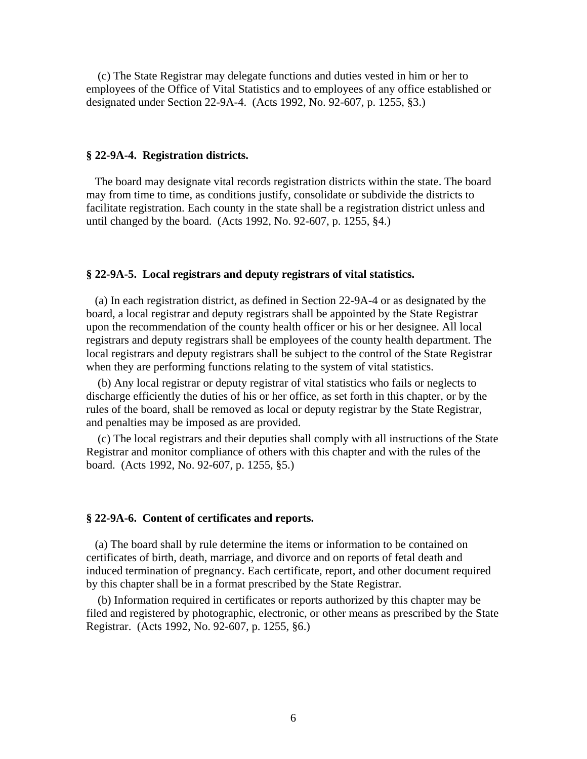(c) The State Registrar may delegate functions and duties vested in him or her to employees of the Office of Vital Statistics and to employees of any office established or designated under Section 22-9A-4. (Acts 1992, No. 92-607, p. 1255, §3.)

#### **§ 22-9A-4. Registration districts.**

The board may designate vital records registration districts within the state. The board may from time to time, as conditions justify, consolidate or subdivide the districts to facilitate registration. Each county in the state shall be a registration district unless and until changed by the board. (Acts 1992, No. 92-607, p. 1255, §4.)

#### **§ 22-9A-5. Local registrars and deputy registrars of vital statistics.**

(a) In each registration district, as defined in Section 22-9A-4 or as designated by the board, a local registrar and deputy registrars shall be appointed by the State Registrar upon the recommendation of the county health officer or his or her designee. All local registrars and deputy registrars shall be employees of the county health department. The local registrars and deputy registrars shall be subject to the control of the State Registrar when they are performing functions relating to the system of vital statistics.

 (b) Any local registrar or deputy registrar of vital statistics who fails or neglects to discharge efficiently the duties of his or her office, as set forth in this chapter, or by the rules of the board, shall be removed as local or deputy registrar by the State Registrar, and penalties may be imposed as are provided.

 (c) The local registrars and their deputies shall comply with all instructions of the State Registrar and monitor compliance of others with this chapter and with the rules of the board. (Acts 1992, No. 92-607, p. 1255, §5.)

#### **§ 22-9A-6. Content of certificates and reports.**

(a) The board shall by rule determine the items or information to be contained on certificates of birth, death, marriage, and divorce and on reports of fetal death and induced termination of pregnancy. Each certificate, report, and other document required by this chapter shall be in a format prescribed by the State Registrar.

 (b) Information required in certificates or reports authorized by this chapter may be filed and registered by photographic, electronic, or other means as prescribed by the State Registrar. (Acts 1992, No. 92-607, p. 1255, §6.)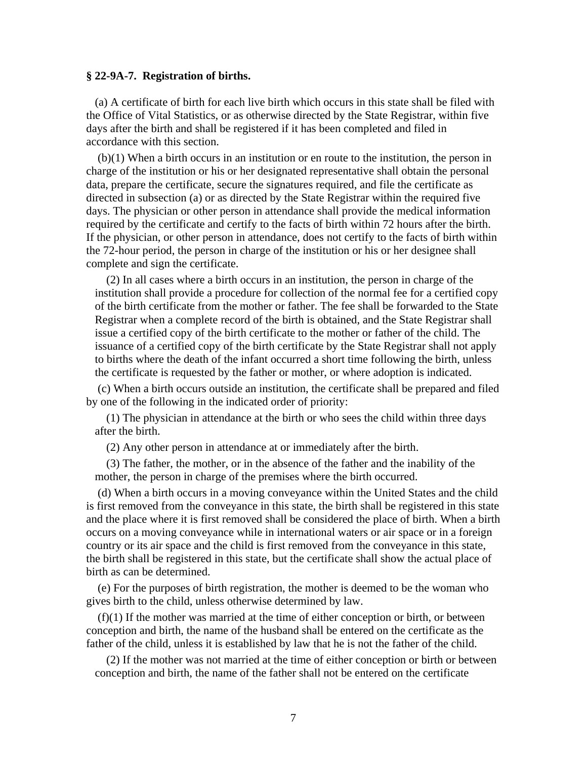#### **§ 22-9A-7. Registration of births.**

(a) A certificate of birth for each live birth which occurs in this state shall be filed with the Office of Vital Statistics, or as otherwise directed by the State Registrar, within five days after the birth and shall be registered if it has been completed and filed in accordance with this section.

 (b)(1) When a birth occurs in an institution or en route to the institution, the person in charge of the institution or his or her designated representative shall obtain the personal data, prepare the certificate, secure the signatures required, and file the certificate as directed in subsection (a) or as directed by the State Registrar within the required five days. The physician or other person in attendance shall provide the medical information required by the certificate and certify to the facts of birth within 72 hours after the birth. If the physician, or other person in attendance, does not certify to the facts of birth within the 72-hour period, the person in charge of the institution or his or her designee shall complete and sign the certificate.

 (2) In all cases where a birth occurs in an institution, the person in charge of the institution shall provide a procedure for collection of the normal fee for a certified copy of the birth certificate from the mother or father. The fee shall be forwarded to the State Registrar when a complete record of the birth is obtained, and the State Registrar shall issue a certified copy of the birth certificate to the mother or father of the child. The issuance of a certified copy of the birth certificate by the State Registrar shall not apply to births where the death of the infant occurred a short time following the birth, unless the certificate is requested by the father or mother, or where adoption is indicated.

 (c) When a birth occurs outside an institution, the certificate shall be prepared and filed by one of the following in the indicated order of priority:

 (1) The physician in attendance at the birth or who sees the child within three days after the birth.

(2) Any other person in attendance at or immediately after the birth.

 (3) The father, the mother, or in the absence of the father and the inability of the mother, the person in charge of the premises where the birth occurred.

 (d) When a birth occurs in a moving conveyance within the United States and the child is first removed from the conveyance in this state, the birth shall be registered in this state and the place where it is first removed shall be considered the place of birth. When a birth occurs on a moving conveyance while in international waters or air space or in a foreign country or its air space and the child is first removed from the conveyance in this state, the birth shall be registered in this state, but the certificate shall show the actual place of birth as can be determined.

 (e) For the purposes of birth registration, the mother is deemed to be the woman who gives birth to the child, unless otherwise determined by law.

 (f)(1) If the mother was married at the time of either conception or birth, or between conception and birth, the name of the husband shall be entered on the certificate as the father of the child, unless it is established by law that he is not the father of the child.

 (2) If the mother was not married at the time of either conception or birth or between conception and birth, the name of the father shall not be entered on the certificate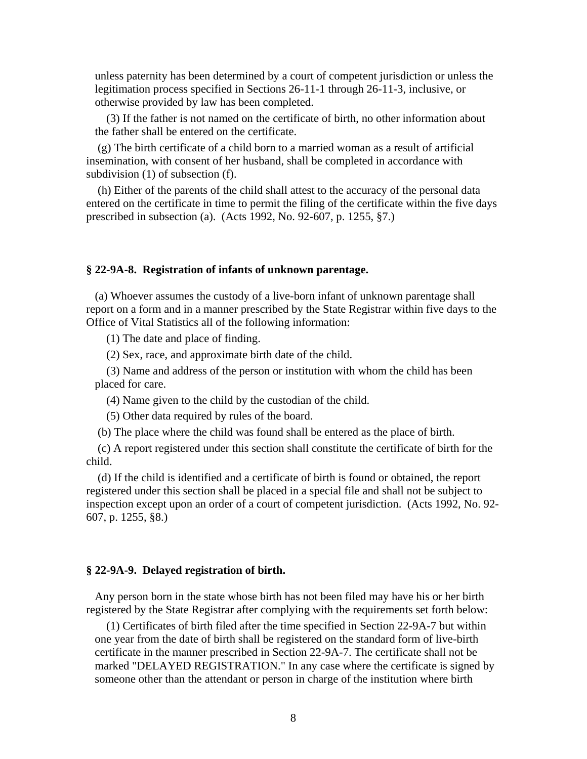unless paternity has been determined by a court of competent jurisdiction or unless the legitimation process specified in Sections 26-11-1 through 26-11-3, inclusive, or otherwise provided by law has been completed.

 (3) If the father is not named on the certificate of birth, no other information about the father shall be entered on the certificate.

 (g) The birth certificate of a child born to a married woman as a result of artificial insemination, with consent of her husband, shall be completed in accordance with subdivision (1) of subsection (f).

 (h) Either of the parents of the child shall attest to the accuracy of the personal data entered on the certificate in time to permit the filing of the certificate within the five days prescribed in subsection (a). (Acts 1992, No. 92-607, p. 1255, §7.)

#### **§ 22-9A-8. Registration of infants of unknown parentage.**

(a) Whoever assumes the custody of a live-born infant of unknown parentage shall report on a form and in a manner prescribed by the State Registrar within five days to the Office of Vital Statistics all of the following information:

(1) The date and place of finding.

(2) Sex, race, and approximate birth date of the child.

 (3) Name and address of the person or institution with whom the child has been placed for care.

(4) Name given to the child by the custodian of the child.

(5) Other data required by rules of the board.

(b) The place where the child was found shall be entered as the place of birth.

 (c) A report registered under this section shall constitute the certificate of birth for the child.

 (d) If the child is identified and a certificate of birth is found or obtained, the report registered under this section shall be placed in a special file and shall not be subject to inspection except upon an order of a court of competent jurisdiction. (Acts 1992, No. 92- 607, p. 1255, §8.)

#### **§ 22-9A-9. Delayed registration of birth.**

Any person born in the state whose birth has not been filed may have his or her birth registered by the State Registrar after complying with the requirements set forth below:

 (1) Certificates of birth filed after the time specified in Section 22-9A-7 but within one year from the date of birth shall be registered on the standard form of live-birth certificate in the manner prescribed in Section 22-9A-7. The certificate shall not be marked "DELAYED REGISTRATION." In any case where the certificate is signed by someone other than the attendant or person in charge of the institution where birth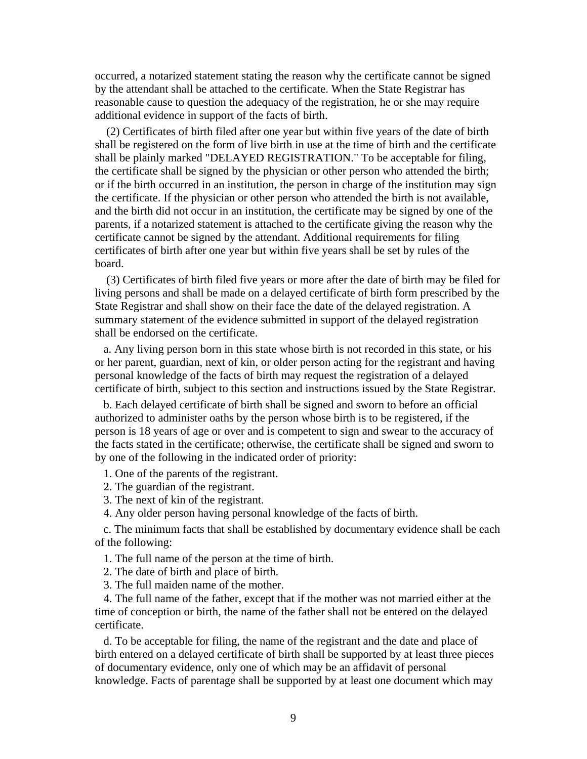occurred, a notarized statement stating the reason why the certificate cannot be signed by the attendant shall be attached to the certificate. When the State Registrar has reasonable cause to question the adequacy of the registration, he or she may require additional evidence in support of the facts of birth.

 (2) Certificates of birth filed after one year but within five years of the date of birth shall be registered on the form of live birth in use at the time of birth and the certificate shall be plainly marked "DELAYED REGISTRATION." To be acceptable for filing, the certificate shall be signed by the physician or other person who attended the birth; or if the birth occurred in an institution, the person in charge of the institution may sign the certificate. If the physician or other person who attended the birth is not available, and the birth did not occur in an institution, the certificate may be signed by one of the parents, if a notarized statement is attached to the certificate giving the reason why the certificate cannot be signed by the attendant. Additional requirements for filing certificates of birth after one year but within five years shall be set by rules of the board.

 (3) Certificates of birth filed five years or more after the date of birth may be filed for living persons and shall be made on a delayed certificate of birth form prescribed by the State Registrar and shall show on their face the date of the delayed registration. A summary statement of the evidence submitted in support of the delayed registration shall be endorsed on the certificate.

a. Any living person born in this state whose birth is not recorded in this state, or his or her parent, guardian, next of kin, or older person acting for the registrant and having personal knowledge of the facts of birth may request the registration of a delayed certificate of birth, subject to this section and instructions issued by the State Registrar.

b. Each delayed certificate of birth shall be signed and sworn to before an official authorized to administer oaths by the person whose birth is to be registered, if the person is 18 years of age or over and is competent to sign and swear to the accuracy of the facts stated in the certificate; otherwise, the certificate shall be signed and sworn to by one of the following in the indicated order of priority:

- 1. One of the parents of the registrant.
- 2. The guardian of the registrant.
- 3. The next of kin of the registrant.
- 4. Any older person having personal knowledge of the facts of birth.

c. The minimum facts that shall be established by documentary evidence shall be each of the following:

1. The full name of the person at the time of birth.

- 2. The date of birth and place of birth.
- 3. The full maiden name of the mother.

4. The full name of the father, except that if the mother was not married either at the time of conception or birth, the name of the father shall not be entered on the delayed certificate.

d. To be acceptable for filing, the name of the registrant and the date and place of birth entered on a delayed certificate of birth shall be supported by at least three pieces of documentary evidence, only one of which may be an affidavit of personal knowledge. Facts of parentage shall be supported by at least one document which may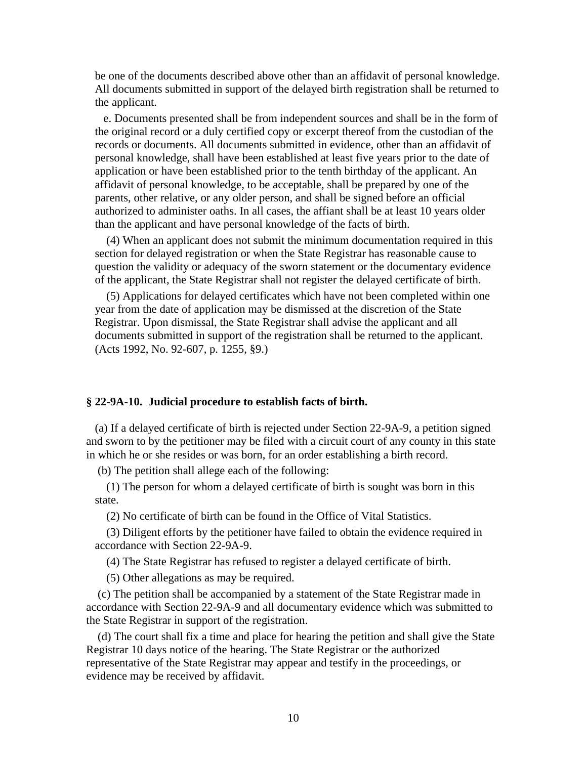be one of the documents described above other than an affidavit of personal knowledge. All documents submitted in support of the delayed birth registration shall be returned to the applicant.

e. Documents presented shall be from independent sources and shall be in the form of the original record or a duly certified copy or excerpt thereof from the custodian of the records or documents. All documents submitted in evidence, other than an affidavit of personal knowledge, shall have been established at least five years prior to the date of application or have been established prior to the tenth birthday of the applicant. An affidavit of personal knowledge, to be acceptable, shall be prepared by one of the parents, other relative, or any older person, and shall be signed before an official authorized to administer oaths. In all cases, the affiant shall be at least 10 years older than the applicant and have personal knowledge of the facts of birth.

 (4) When an applicant does not submit the minimum documentation required in this section for delayed registration or when the State Registrar has reasonable cause to question the validity or adequacy of the sworn statement or the documentary evidence of the applicant, the State Registrar shall not register the delayed certificate of birth.

 (5) Applications for delayed certificates which have not been completed within one year from the date of application may be dismissed at the discretion of the State Registrar. Upon dismissal, the State Registrar shall advise the applicant and all documents submitted in support of the registration shall be returned to the applicant. (Acts 1992, No. 92-607, p. 1255, §9.)

#### **§ 22-9A-10. Judicial procedure to establish facts of birth.**

(a) If a delayed certificate of birth is rejected under Section 22-9A-9, a petition signed and sworn to by the petitioner may be filed with a circuit court of any county in this state in which he or she resides or was born, for an order establishing a birth record.

(b) The petition shall allege each of the following:

 (1) The person for whom a delayed certificate of birth is sought was born in this state.

(2) No certificate of birth can be found in the Office of Vital Statistics.

 (3) Diligent efforts by the petitioner have failed to obtain the evidence required in accordance with Section 22-9A-9.

(4) The State Registrar has refused to register a delayed certificate of birth.

(5) Other allegations as may be required.

 (c) The petition shall be accompanied by a statement of the State Registrar made in accordance with Section 22-9A-9 and all documentary evidence which was submitted to the State Registrar in support of the registration.

 (d) The court shall fix a time and place for hearing the petition and shall give the State Registrar 10 days notice of the hearing. The State Registrar or the authorized representative of the State Registrar may appear and testify in the proceedings, or evidence may be received by affidavit.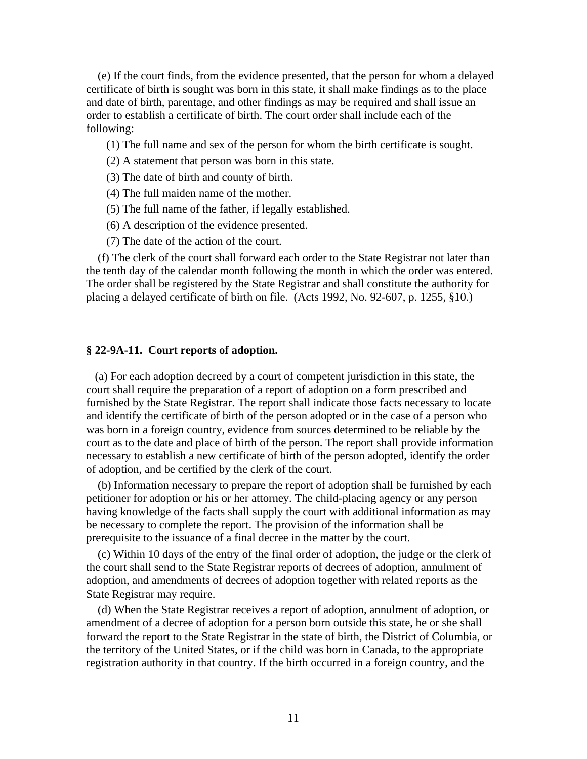(e) If the court finds, from the evidence presented, that the person for whom a delayed certificate of birth is sought was born in this state, it shall make findings as to the place and date of birth, parentage, and other findings as may be required and shall issue an order to establish a certificate of birth. The court order shall include each of the following:

- (1) The full name and sex of the person for whom the birth certificate is sought.
- (2) A statement that person was born in this state.
- (3) The date of birth and county of birth.
- (4) The full maiden name of the mother.
- (5) The full name of the father, if legally established.
- (6) A description of the evidence presented.
- (7) The date of the action of the court.

 (f) The clerk of the court shall forward each order to the State Registrar not later than the tenth day of the calendar month following the month in which the order was entered. The order shall be registered by the State Registrar and shall constitute the authority for placing a delayed certificate of birth on file. (Acts 1992, No. 92-607, p. 1255, §10.)

#### **§ 22-9A-11. Court reports of adoption.**

(a) For each adoption decreed by a court of competent jurisdiction in this state, the court shall require the preparation of a report of adoption on a form prescribed and furnished by the State Registrar. The report shall indicate those facts necessary to locate and identify the certificate of birth of the person adopted or in the case of a person who was born in a foreign country, evidence from sources determined to be reliable by the court as to the date and place of birth of the person. The report shall provide information necessary to establish a new certificate of birth of the person adopted, identify the order of adoption, and be certified by the clerk of the court.

 (b) Information necessary to prepare the report of adoption shall be furnished by each petitioner for adoption or his or her attorney. The child-placing agency or any person having knowledge of the facts shall supply the court with additional information as may be necessary to complete the report. The provision of the information shall be prerequisite to the issuance of a final decree in the matter by the court.

 (c) Within 10 days of the entry of the final order of adoption, the judge or the clerk of the court shall send to the State Registrar reports of decrees of adoption, annulment of adoption, and amendments of decrees of adoption together with related reports as the State Registrar may require.

 (d) When the State Registrar receives a report of adoption, annulment of adoption, or amendment of a decree of adoption for a person born outside this state, he or she shall forward the report to the State Registrar in the state of birth, the District of Columbia, or the territory of the United States, or if the child was born in Canada, to the appropriate registration authority in that country. If the birth occurred in a foreign country, and the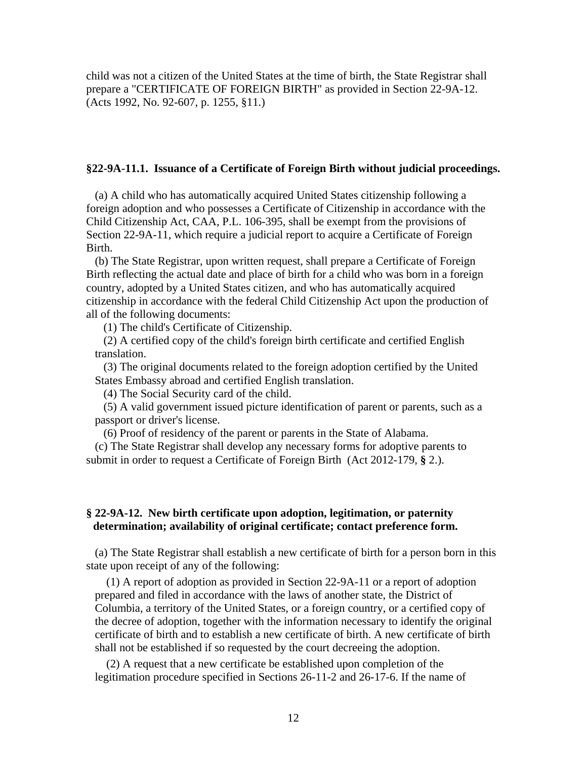child was not a citizen of the United States at the time of birth, the State Registrar shall prepare a "CERTIFICATE OF FOREIGN BIRTH" as provided in Section 22-9A-12. (Acts 1992, No. 92-607, p. 1255, §11.)

#### **§22-9A-11.1. Issuance of a Certificate of Foreign Birth without judicial proceedings.**

(a) A child who has automatically acquired United States citizenship following a foreign adoption and who possesses a Certificate of Citizenship in accordance with the Child Citizenship Act, CAA, P.L. 106-395, shall be exempt from the provisions of Section 22-9A-11, which require a judicial report to acquire a Certificate of Foreign Birth.

(b) The State Registrar, upon written request, shall prepare a Certificate of Foreign Birth reflecting the actual date and place of birth for a child who was born in a foreign country, adopted by a United States citizen, and who has automatically acquired citizenship in accordance with the federal Child Citizenship Act upon the production of all of the following documents:

(1) The child's Certificate of Citizenship.

(2) A certified copy of the child's foreign birth certificate and certified English translation.

(3) The original documents related to the foreign adoption certified by the United States Embassy abroad and certified English translation.

(4) The Social Security card of the child.

(5) A valid government issued picture identification of parent or parents, such as a passport or driver's license.

(6) Proof of residency of the parent or parents in the State of Alabama.

(c) The State Registrar shall develop any necessary forms for adoptive parents to submit in order to request a Certificate of Foreign Birth (Act 2012-179, **§** 2.).

#### **§ 22-9A-12. New birth certificate upon adoption, legitimation, or paternity determination; availability of original certificate; contact preference form.**

(a) The State Registrar shall establish a new certificate of birth for a person born in this state upon receipt of any of the following:

 (1) A report of adoption as provided in Section 22-9A-11 or a report of adoption prepared and filed in accordance with the laws of another state, the District of Columbia, a territory of the United States, or a foreign country, or a certified copy of the decree of adoption, together with the information necessary to identify the original certificate of birth and to establish a new certificate of birth. A new certificate of birth shall not be established if so requested by the court decreeing the adoption.

 (2) A request that a new certificate be established upon completion of the legitimation procedure specified in Sections 26-11-2 and 26-17-6. If the name of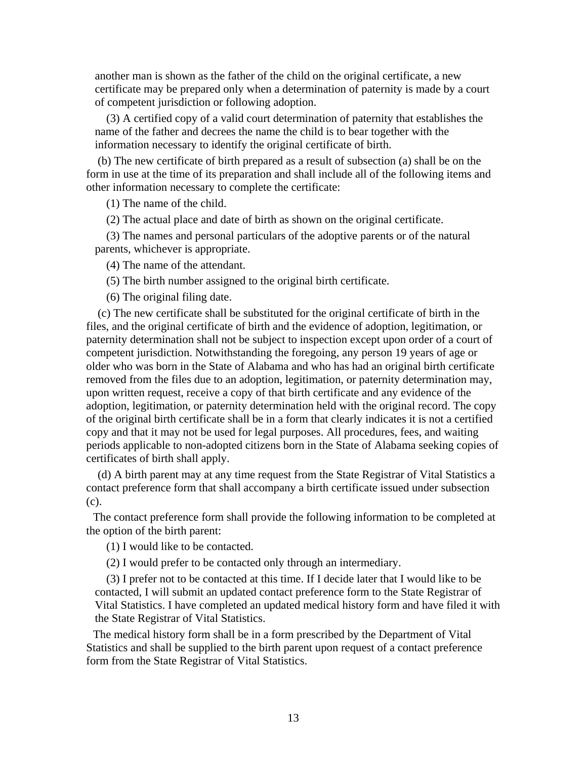another man is shown as the father of the child on the original certificate, a new certificate may be prepared only when a determination of paternity is made by a court of competent jurisdiction or following adoption.

 (3) A certified copy of a valid court determination of paternity that establishes the name of the father and decrees the name the child is to bear together with the information necessary to identify the original certificate of birth.

 (b) The new certificate of birth prepared as a result of subsection (a) shall be on the form in use at the time of its preparation and shall include all of the following items and other information necessary to complete the certificate:

(1) The name of the child.

(2) The actual place and date of birth as shown on the original certificate.

 (3) The names and personal particulars of the adoptive parents or of the natural parents, whichever is appropriate.

(4) The name of the attendant.

(5) The birth number assigned to the original birth certificate.

(6) The original filing date.

 (c) The new certificate shall be substituted for the original certificate of birth in the files, and the original certificate of birth and the evidence of adoption, legitimation, or paternity determination shall not be subject to inspection except upon order of a court of competent jurisdiction. Notwithstanding the foregoing, any person 19 years of age or older who was born in the State of Alabama and who has had an original birth certificate removed from the files due to an adoption, legitimation, or paternity determination may, upon written request, receive a copy of that birth certificate and any evidence of the adoption, legitimation, or paternity determination held with the original record. The copy of the original birth certificate shall be in a form that clearly indicates it is not a certified copy and that it may not be used for legal purposes. All procedures, fees, and waiting periods applicable to non-adopted citizens born in the State of Alabama seeking copies of certificates of birth shall apply.

 (d) A birth parent may at any time request from the State Registrar of Vital Statistics a contact preference form that shall accompany a birth certificate issued under subsection (c).

The contact preference form shall provide the following information to be completed at the option of the birth parent:

(1) I would like to be contacted.

(2) I would prefer to be contacted only through an intermediary.

 (3) I prefer not to be contacted at this time. If I decide later that I would like to be contacted, I will submit an updated contact preference form to the State Registrar of Vital Statistics. I have completed an updated medical history form and have filed it with the State Registrar of Vital Statistics.

The medical history form shall be in a form prescribed by the Department of Vital Statistics and shall be supplied to the birth parent upon request of a contact preference form from the State Registrar of Vital Statistics.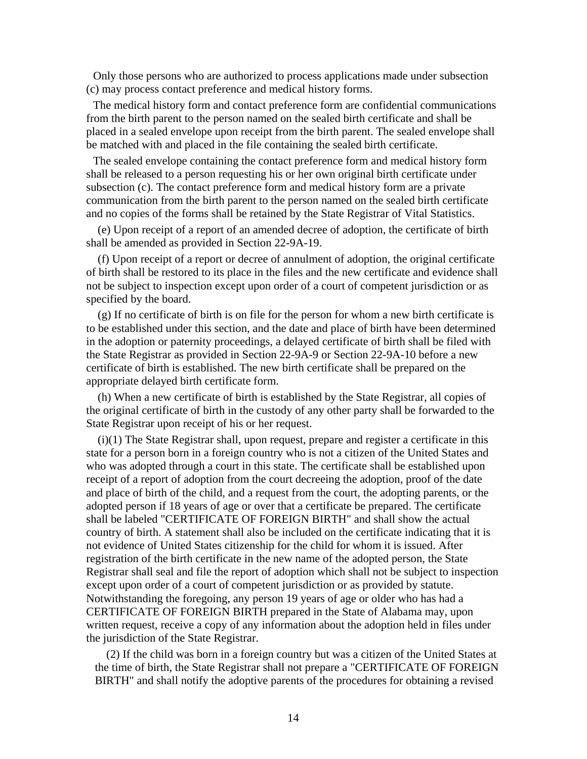Only those persons who are authorized to process applications made under subsection (c) may process contact preference and medical history forms.

The medical history form and contact preference form are confidential communications from the birth parent to the person named on the sealed birth certificate and shall be placed in a sealed envelope upon receipt from the birth parent. The sealed envelope shall be matched with and placed in the file containing the sealed birth certificate.

The sealed envelope containing the contact preference form and medical history form shall be released to a person requesting his or her own original birth certificate under subsection (c). The contact preference form and medical history form are a private communication from the birth parent to the person named on the sealed birth certificate and no copies of the forms shall be retained by the State Registrar of Vital Statistics.

 (e) Upon receipt of a report of an amended decree of adoption, the certificate of birth shall be amended as provided in Section 22-9A-19.

 (f) Upon receipt of a report or decree of annulment of adoption, the original certificate of birth shall be restored to its place in the files and the new certificate and evidence shall not be subject to inspection except upon order of a court of competent jurisdiction or as specified by the board.

 (g) If no certificate of birth is on file for the person for whom a new birth certificate is to be established under this section, and the date and place of birth have been determined in the adoption or paternity proceedings, a delayed certificate of birth shall be filed with the State Registrar as provided in Section 22-9A-9 or Section 22-9A-10 before a new certificate of birth is established. The new birth certificate shall be prepared on the appropriate delayed birth certificate form.

 (h) When a new certificate of birth is established by the State Registrar, all copies of the original certificate of birth in the custody of any other party shall be forwarded to the State Registrar upon receipt of his or her request.

 (i)(1) The State Registrar shall, upon request, prepare and register a certificate in this state for a person born in a foreign country who is not a citizen of the United States and who was adopted through a court in this state. The certificate shall be established upon receipt of a report of adoption from the court decreeing the adoption, proof of the date and place of birth of the child, and a request from the court, the adopting parents, or the adopted person if 18 years of age or over that a certificate be prepared. The certificate shall be labeled "CERTIFICATE OF FOREIGN BIRTH" and shall show the actual country of birth. A statement shall also be included on the certificate indicating that it is not evidence of United States citizenship for the child for whom it is issued. After registration of the birth certificate in the new name of the adopted person, the State Registrar shall seal and file the report of adoption which shall not be subject to inspection except upon order of a court of competent jurisdiction or as provided by statute. Notwithstanding the foregoing, any person 19 years of age or older who has had a CERTIFICATE OF FOREIGN BIRTH prepared in the State of Alabama may, upon written request, receive a copy of any information about the adoption held in files under the jurisdiction of the State Registrar.

 (2) If the child was born in a foreign country but was a citizen of the United States at the time of birth, the State Registrar shall not prepare a "CERTIFICATE OF FOREIGN BIRTH" and shall notify the adoptive parents of the procedures for obtaining a revised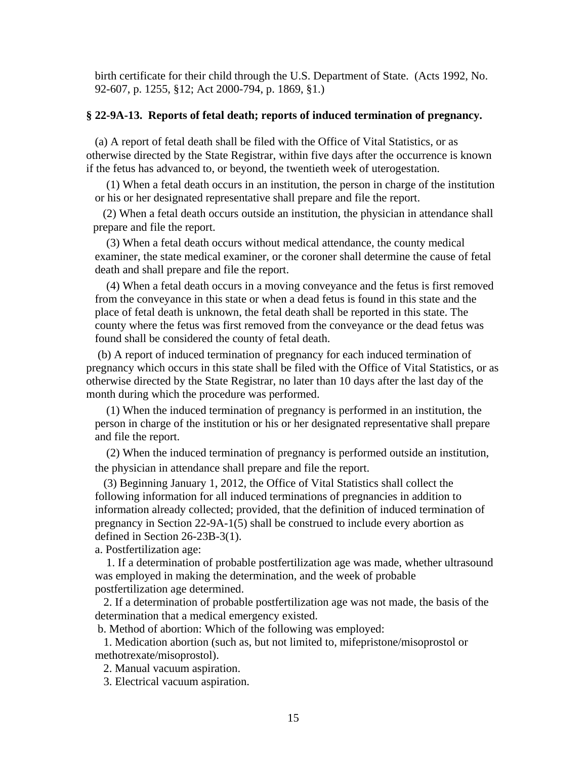birth certificate for their child through the U.S. Department of State. (Acts 1992, No. 92-607, p. 1255, §12; Act 2000-794, p. 1869, §1.)

#### **§ 22-9A-13. Reports of fetal death; reports of induced termination of pregnancy.**

(a) A report of fetal death shall be filed with the Office of Vital Statistics, or as otherwise directed by the State Registrar, within five days after the occurrence is known if the fetus has advanced to, or beyond, the twentieth week of uterogestation.

 (1) When a fetal death occurs in an institution, the person in charge of the institution or his or her designated representative shall prepare and file the report.

 (2) When a fetal death occurs outside an institution, the physician in attendance shall prepare and file the report.

 (3) When a fetal death occurs without medical attendance, the county medical examiner, the state medical examiner, or the coroner shall determine the cause of fetal death and shall prepare and file the report.

 (4) When a fetal death occurs in a moving conveyance and the fetus is first removed from the conveyance in this state or when a dead fetus is found in this state and the place of fetal death is unknown, the fetal death shall be reported in this state. The county where the fetus was first removed from the conveyance or the dead fetus was found shall be considered the county of fetal death.

 (b) A report of induced termination of pregnancy for each induced termination of pregnancy which occurs in this state shall be filed with the Office of Vital Statistics, or as otherwise directed by the State Registrar, no later than 10 days after the last day of the month during which the procedure was performed.

 (1) When the induced termination of pregnancy is performed in an institution, the person in charge of the institution or his or her designated representative shall prepare and file the report.

 (2) When the induced termination of pregnancy is performed outside an institution, the physician in attendance shall prepare and file the report.

(3) Beginning January 1, 2012, the Office of Vital Statistics shall collect the following information for all induced terminations of pregnancies in addition to information already collected; provided, that the definition of induced termination of pregnancy in Section 22-9A-1(5) shall be construed to include every abortion as defined in Section 26-23B-3(1).

a. Postfertilization age:

 1. If a determination of probable postfertilization age was made, whether ultrasound was employed in making the determination, and the week of probable postfertilization age determined.

 2. If a determination of probable postfertilization age was not made, the basis of the determination that a medical emergency existed.

b. Method of abortion: Which of the following was employed:

 1. Medication abortion (such as, but not limited to, mifepristone/misoprostol or methotrexate/misoprostol).

2. Manual vacuum aspiration.

3. Electrical vacuum aspiration.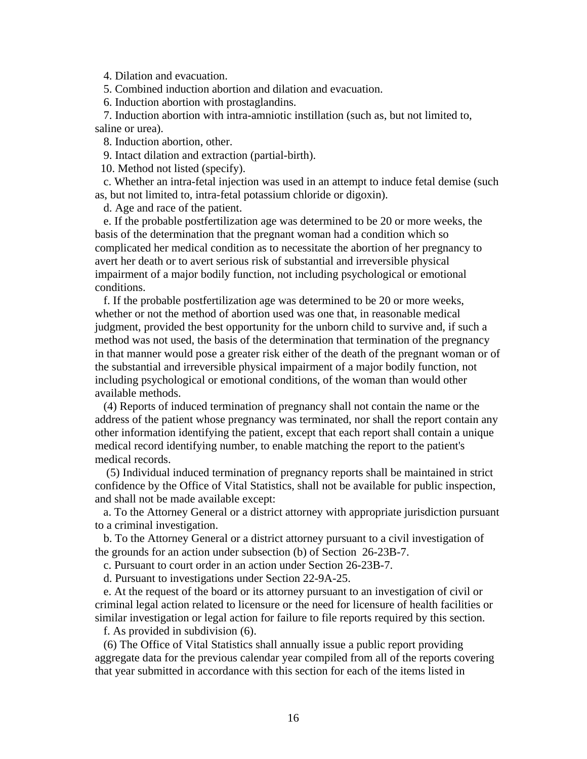4. Dilation and evacuation.

5. Combined induction abortion and dilation and evacuation.

6. Induction abortion with prostaglandins.

 7. Induction abortion with intra-amniotic instillation (such as, but not limited to, saline or urea).

8. Induction abortion, other.

9. Intact dilation and extraction (partial-birth).

10. Method not listed (specify).

c. Whether an intra-fetal injection was used in an attempt to induce fetal demise (such as, but not limited to, intra-fetal potassium chloride or digoxin).

d. Age and race of the patient.

 e. If the probable postfertilization age was determined to be 20 or more weeks, the basis of the determination that the pregnant woman had a condition which so complicated her medical condition as to necessitate the abortion of her pregnancy to avert her death or to avert serious risk of substantial and irreversible physical impairment of a major bodily function, not including psychological or emotional conditions.

 f. If the probable postfertilization age was determined to be 20 or more weeks, whether or not the method of abortion used was one that, in reasonable medical judgment, provided the best opportunity for the unborn child to survive and, if such a method was not used, the basis of the determination that termination of the pregnancy in that manner would pose a greater risk either of the death of the pregnant woman or of the substantial and irreversible physical impairment of a major bodily function, not including psychological or emotional conditions, of the woman than would other available methods.

 (4) Reports of induced termination of pregnancy shall not contain the name or the address of the patient whose pregnancy was terminated, nor shall the report contain any other information identifying the patient, except that each report shall contain a unique medical record identifying number, to enable matching the report to the patient's medical records.

 (5) Individual induced termination of pregnancy reports shall be maintained in strict confidence by the Office of Vital Statistics, shall not be available for public inspection, and shall not be made available except:

 a. To the Attorney General or a district attorney with appropriate jurisdiction pursuant to a criminal investigation.

 b. To the Attorney General or a district attorney pursuant to a civil investigation of the grounds for an action under subsection (b) of Section 26-23B-7.

c. Pursuant to court order in an action under Section 26-23B-7.

d. Pursuant to investigations under Section 22-9A-25.

 e. At the request of the board or its attorney pursuant to an investigation of civil or criminal legal action related to licensure or the need for licensure of health facilities or similar investigation or legal action for failure to file reports required by this section.

f. As provided in subdivision (6).

 (6) The Office of Vital Statistics shall annually issue a public report providing aggregate data for the previous calendar year compiled from all of the reports covering that year submitted in accordance with this section for each of the items listed in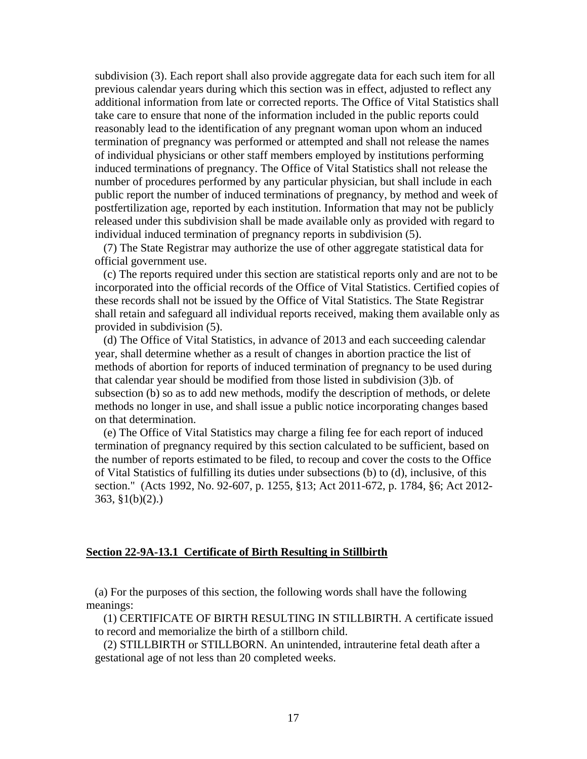subdivision (3). Each report shall also provide aggregate data for each such item for all previous calendar years during which this section was in effect, adjusted to reflect any additional information from late or corrected reports. The Office of Vital Statistics shall take care to ensure that none of the information included in the public reports could reasonably lead to the identification of any pregnant woman upon whom an induced termination of pregnancy was performed or attempted and shall not release the names of individual physicians or other staff members employed by institutions performing induced terminations of pregnancy. The Office of Vital Statistics shall not release the number of procedures performed by any particular physician, but shall include in each public report the number of induced terminations of pregnancy, by method and week of postfertilization age, reported by each institution. Information that may not be publicly released under this subdivision shall be made available only as provided with regard to individual induced termination of pregnancy reports in subdivision (5).

 (7) The State Registrar may authorize the use of other aggregate statistical data for official government use.

 (c) The reports required under this section are statistical reports only and are not to be incorporated into the official records of the Office of Vital Statistics. Certified copies of these records shall not be issued by the Office of Vital Statistics. The State Registrar shall retain and safeguard all individual reports received, making them available only as provided in subdivision (5).

 (d) The Office of Vital Statistics, in advance of 2013 and each succeeding calendar year, shall determine whether as a result of changes in abortion practice the list of methods of abortion for reports of induced termination of pregnancy to be used during that calendar year should be modified from those listed in subdivision (3)b. of subsection (b) so as to add new methods, modify the description of methods, or delete methods no longer in use, and shall issue a public notice incorporating changes based on that determination.

 (e) The Office of Vital Statistics may charge a filing fee for each report of induced termination of pregnancy required by this section calculated to be sufficient, based on the number of reports estimated to be filed, to recoup and cover the costs to the Office of Vital Statistics of fulfilling its duties under subsections (b) to (d), inclusive, of this section." (Acts 1992, No. 92-607, p. 1255, §13; Act 2011-672, p. 1784, §6; Act 2012- 363, §1(b)(2).)

#### **Section 22-9A-13.1 Certificate of Birth Resulting in Stillbirth**

(a) For the purposes of this section, the following words shall have the following meanings:

(1) CERTIFICATE OF BIRTH RESULTING IN STILLBIRTH. A certificate issued to record and memorialize the birth of a stillborn child.

(2) STILLBIRTH or STILLBORN. An unintended, intrauterine fetal death after a gestational age of not less than 20 completed weeks.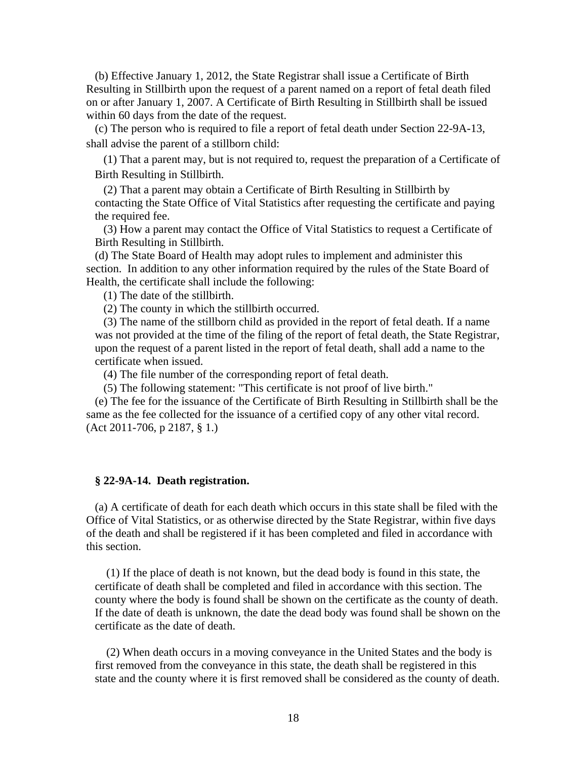(b) Effective January 1, 2012, the State Registrar shall issue a Certificate of Birth Resulting in Stillbirth upon the request of a parent named on a report of fetal death filed on or after January 1, 2007. A Certificate of Birth Resulting in Stillbirth shall be issued within 60 days from the date of the request.

(c) The person who is required to file a report of fetal death under Section 22-9A-13, shall advise the parent of a stillborn child:

(1) That a parent may, but is not required to, request the preparation of a Certificate of Birth Resulting in Stillbirth.

(2) That a parent may obtain a Certificate of Birth Resulting in Stillbirth by contacting the State Office of Vital Statistics after requesting the certificate and paying the required fee.

(3) How a parent may contact the Office of Vital Statistics to request a Certificate of Birth Resulting in Stillbirth.

(d) The State Board of Health may adopt rules to implement and administer this section. In addition to any other information required by the rules of the State Board of Health, the certificate shall include the following:

(1) The date of the stillbirth.

(2) The county in which the stillbirth occurred.

(3) The name of the stillborn child as provided in the report of fetal death. If a name was not provided at the time of the filing of the report of fetal death, the State Registrar, upon the request of a parent listed in the report of fetal death, shall add a name to the certificate when issued.

(4) The file number of the corresponding report of fetal death.

(5) The following statement: "This certificate is not proof of live birth."

(e) The fee for the issuance of the Certificate of Birth Resulting in Stillbirth shall be the same as the fee collected for the issuance of a certified copy of any other vital record. (Act 2011-706, p 2187, § 1.)

#### **§ 22-9A-14. Death registration.**

(a) A certificate of death for each death which occurs in this state shall be filed with the Office of Vital Statistics, or as otherwise directed by the State Registrar, within five days of the death and shall be registered if it has been completed and filed in accordance with this section.

 (1) If the place of death is not known, but the dead body is found in this state, the certificate of death shall be completed and filed in accordance with this section. The county where the body is found shall be shown on the certificate as the county of death. If the date of death is unknown, the date the dead body was found shall be shown on the certificate as the date of death.

 (2) When death occurs in a moving conveyance in the United States and the body is first removed from the conveyance in this state, the death shall be registered in this state and the county where it is first removed shall be considered as the county of death.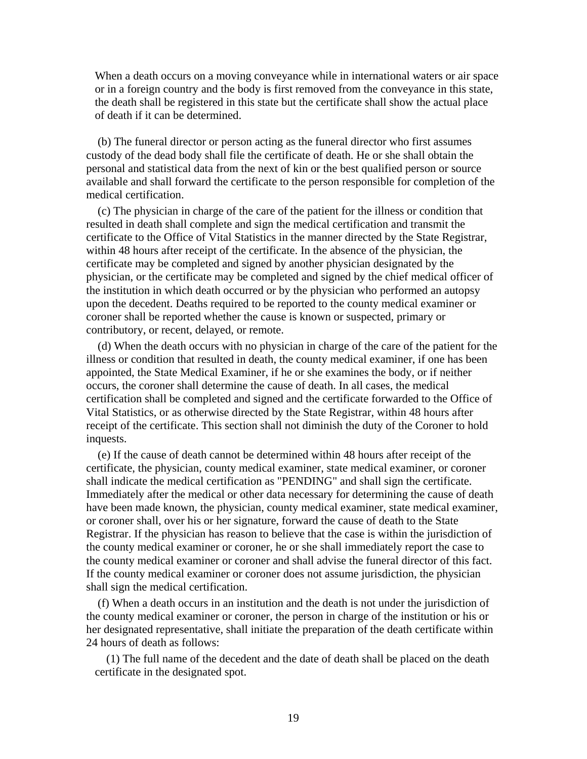When a death occurs on a moving conveyance while in international waters or air space or in a foreign country and the body is first removed from the conveyance in this state, the death shall be registered in this state but the certificate shall show the actual place of death if it can be determined.

 (b) The funeral director or person acting as the funeral director who first assumes custody of the dead body shall file the certificate of death. He or she shall obtain the personal and statistical data from the next of kin or the best qualified person or source available and shall forward the certificate to the person responsible for completion of the medical certification.

 (c) The physician in charge of the care of the patient for the illness or condition that resulted in death shall complete and sign the medical certification and transmit the certificate to the Office of Vital Statistics in the manner directed by the State Registrar, within 48 hours after receipt of the certificate. In the absence of the physician, the certificate may be completed and signed by another physician designated by the physician, or the certificate may be completed and signed by the chief medical officer of the institution in which death occurred or by the physician who performed an autopsy upon the decedent. Deaths required to be reported to the county medical examiner or coroner shall be reported whether the cause is known or suspected, primary or contributory, or recent, delayed, or remote.

 (d) When the death occurs with no physician in charge of the care of the patient for the illness or condition that resulted in death, the county medical examiner, if one has been appointed, the State Medical Examiner, if he or she examines the body, or if neither occurs, the coroner shall determine the cause of death. In all cases, the medical certification shall be completed and signed and the certificate forwarded to the Office of Vital Statistics, or as otherwise directed by the State Registrar, within 48 hours after receipt of the certificate. This section shall not diminish the duty of the Coroner to hold inquests.

 (e) If the cause of death cannot be determined within 48 hours after receipt of the certificate, the physician, county medical examiner, state medical examiner, or coroner shall indicate the medical certification as "PENDING" and shall sign the certificate. Immediately after the medical or other data necessary for determining the cause of death have been made known, the physician, county medical examiner, state medical examiner, or coroner shall, over his or her signature, forward the cause of death to the State Registrar. If the physician has reason to believe that the case is within the jurisdiction of the county medical examiner or coroner, he or she shall immediately report the case to the county medical examiner or coroner and shall advise the funeral director of this fact. If the county medical examiner or coroner does not assume jurisdiction, the physician shall sign the medical certification.

 (f) When a death occurs in an institution and the death is not under the jurisdiction of the county medical examiner or coroner, the person in charge of the institution or his or her designated representative, shall initiate the preparation of the death certificate within 24 hours of death as follows:

 (1) The full name of the decedent and the date of death shall be placed on the death certificate in the designated spot.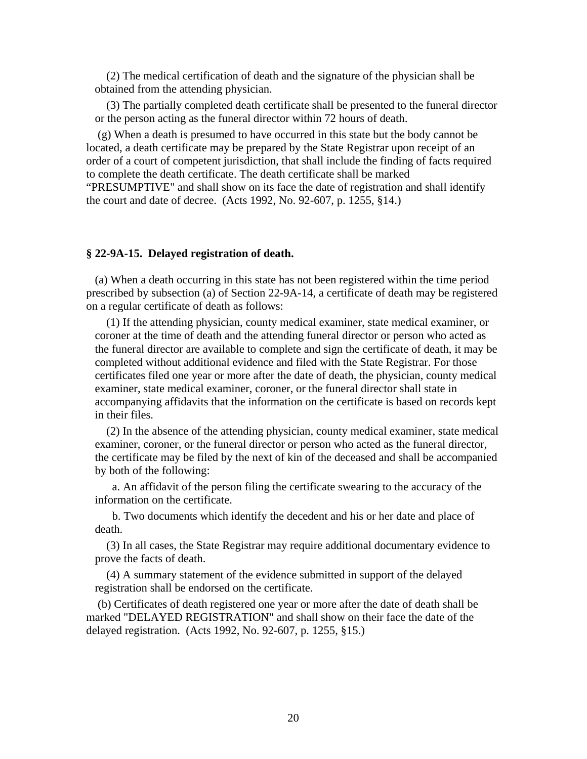(2) The medical certification of death and the signature of the physician shall be obtained from the attending physician.

 (3) The partially completed death certificate shall be presented to the funeral director or the person acting as the funeral director within 72 hours of death.

 (g) When a death is presumed to have occurred in this state but the body cannot be located, a death certificate may be prepared by the State Registrar upon receipt of an order of a court of competent jurisdiction, that shall include the finding of facts required to complete the death certificate. The death certificate shall be marked "PRESUMPTIVE" and shall show on its face the date of registration and shall identify the court and date of decree. (Acts 1992, No. 92-607, p. 1255, §14.)

#### **§ 22-9A-15. Delayed registration of death.**

(a) When a death occurring in this state has not been registered within the time period prescribed by subsection (a) of Section 22-9A-14, a certificate of death may be registered on a regular certificate of death as follows:

 (1) If the attending physician, county medical examiner, state medical examiner, or coroner at the time of death and the attending funeral director or person who acted as the funeral director are available to complete and sign the certificate of death, it may be completed without additional evidence and filed with the State Registrar. For those certificates filed one year or more after the date of death, the physician, county medical examiner, state medical examiner, coroner, or the funeral director shall state in accompanying affidavits that the information on the certificate is based on records kept in their files.

 (2) In the absence of the attending physician, county medical examiner, state medical examiner, coroner, or the funeral director or person who acted as the funeral director, the certificate may be filed by the next of kin of the deceased and shall be accompanied by both of the following:

a. An affidavit of the person filing the certificate swearing to the accuracy of the information on the certificate.

b. Two documents which identify the decedent and his or her date and place of death.

 (3) In all cases, the State Registrar may require additional documentary evidence to prove the facts of death.

 (4) A summary statement of the evidence submitted in support of the delayed registration shall be endorsed on the certificate.

 (b) Certificates of death registered one year or more after the date of death shall be marked "DELAYED REGISTRATION" and shall show on their face the date of the delayed registration. (Acts 1992, No. 92-607, p. 1255, §15.)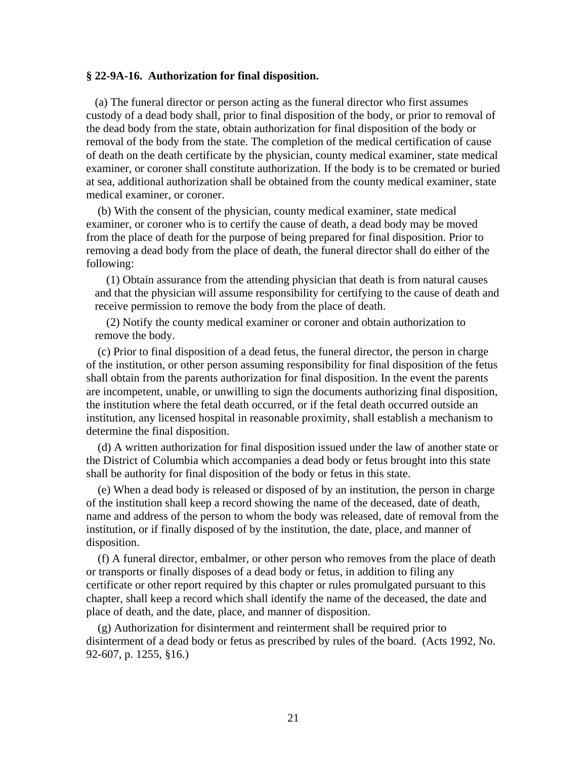#### **§ 22-9A-16. Authorization for final disposition.**

(a) The funeral director or person acting as the funeral director who first assumes custody of a dead body shall, prior to final disposition of the body, or prior to removal of the dead body from the state, obtain authorization for final disposition of the body or removal of the body from the state. The completion of the medical certification of cause of death on the death certificate by the physician, county medical examiner, state medical examiner, or coroner shall constitute authorization. If the body is to be cremated or buried at sea, additional authorization shall be obtained from the county medical examiner, state medical examiner, or coroner.

 (b) With the consent of the physician, county medical examiner, state medical examiner, or coroner who is to certify the cause of death, a dead body may be moved from the place of death for the purpose of being prepared for final disposition. Prior to removing a dead body from the place of death, the funeral director shall do either of the following:

 (1) Obtain assurance from the attending physician that death is from natural causes and that the physician will assume responsibility for certifying to the cause of death and receive permission to remove the body from the place of death.

 (2) Notify the county medical examiner or coroner and obtain authorization to remove the body.

 (c) Prior to final disposition of a dead fetus, the funeral director, the person in charge of the institution, or other person assuming responsibility for final disposition of the fetus shall obtain from the parents authorization for final disposition. In the event the parents are incompetent, unable, or unwilling to sign the documents authorizing final disposition, the institution where the fetal death occurred, or if the fetal death occurred outside an institution, any licensed hospital in reasonable proximity, shall establish a mechanism to determine the final disposition.

 (d) A written authorization for final disposition issued under the law of another state or the District of Columbia which accompanies a dead body or fetus brought into this state shall be authority for final disposition of the body or fetus in this state.

 (e) When a dead body is released or disposed of by an institution, the person in charge of the institution shall keep a record showing the name of the deceased, date of death, name and address of the person to whom the body was released, date of removal from the institution, or if finally disposed of by the institution, the date, place, and manner of disposition.

 (f) A funeral director, embalmer, or other person who removes from the place of death or transports or finally disposes of a dead body or fetus, in addition to filing any certificate or other report required by this chapter or rules promulgated pursuant to this chapter, shall keep a record which shall identify the name of the deceased, the date and place of death, and the date, place, and manner of disposition.

 (g) Authorization for disinterment and reinterment shall be required prior to disinterment of a dead body or fetus as prescribed by rules of the board. (Acts 1992, No. 92-607, p. 1255, §16.)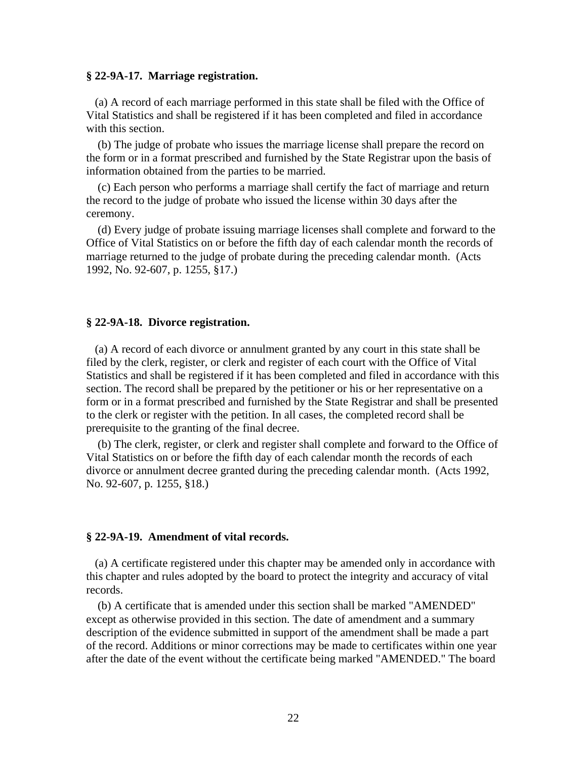#### **§ 22-9A-17. Marriage registration.**

(a) A record of each marriage performed in this state shall be filed with the Office of Vital Statistics and shall be registered if it has been completed and filed in accordance with this section.

 (b) The judge of probate who issues the marriage license shall prepare the record on the form or in a format prescribed and furnished by the State Registrar upon the basis of information obtained from the parties to be married.

 (c) Each person who performs a marriage shall certify the fact of marriage and return the record to the judge of probate who issued the license within 30 days after the ceremony.

 (d) Every judge of probate issuing marriage licenses shall complete and forward to the Office of Vital Statistics on or before the fifth day of each calendar month the records of marriage returned to the judge of probate during the preceding calendar month. (Acts 1992, No. 92-607, p. 1255, §17.)

#### **§ 22-9A-18. Divorce registration.**

(a) A record of each divorce or annulment granted by any court in this state shall be filed by the clerk, register, or clerk and register of each court with the Office of Vital Statistics and shall be registered if it has been completed and filed in accordance with this section. The record shall be prepared by the petitioner or his or her representative on a form or in a format prescribed and furnished by the State Registrar and shall be presented to the clerk or register with the petition. In all cases, the completed record shall be prerequisite to the granting of the final decree.

 (b) The clerk, register, or clerk and register shall complete and forward to the Office of Vital Statistics on or before the fifth day of each calendar month the records of each divorce or annulment decree granted during the preceding calendar month. (Acts 1992, No. 92-607, p. 1255, §18.)

#### **§ 22-9A-19. Amendment of vital records.**

(a) A certificate registered under this chapter may be amended only in accordance with this chapter and rules adopted by the board to protect the integrity and accuracy of vital records.

 (b) A certificate that is amended under this section shall be marked "AMENDED" except as otherwise provided in this section. The date of amendment and a summary description of the evidence submitted in support of the amendment shall be made a part of the record. Additions or minor corrections may be made to certificates within one year after the date of the event without the certificate being marked "AMENDED." The board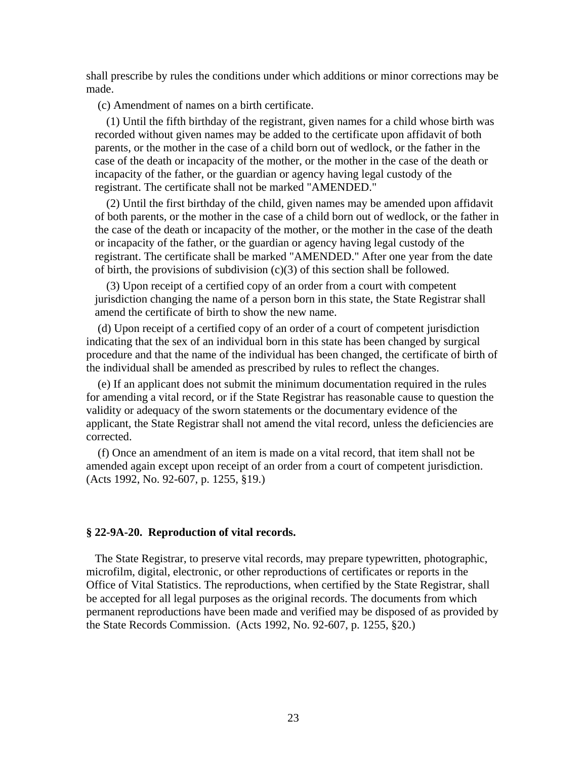shall prescribe by rules the conditions under which additions or minor corrections may be made.

(c) Amendment of names on a birth certificate.

 (1) Until the fifth birthday of the registrant, given names for a child whose birth was recorded without given names may be added to the certificate upon affidavit of both parents, or the mother in the case of a child born out of wedlock, or the father in the case of the death or incapacity of the mother, or the mother in the case of the death or incapacity of the father, or the guardian or agency having legal custody of the registrant. The certificate shall not be marked "AMENDED."

 (2) Until the first birthday of the child, given names may be amended upon affidavit of both parents, or the mother in the case of a child born out of wedlock, or the father in the case of the death or incapacity of the mother, or the mother in the case of the death or incapacity of the father, or the guardian or agency having legal custody of the registrant. The certificate shall be marked "AMENDED." After one year from the date of birth, the provisions of subdivision (c)(3) of this section shall be followed.

 (3) Upon receipt of a certified copy of an order from a court with competent jurisdiction changing the name of a person born in this state, the State Registrar shall amend the certificate of birth to show the new name.

 (d) Upon receipt of a certified copy of an order of a court of competent jurisdiction indicating that the sex of an individual born in this state has been changed by surgical procedure and that the name of the individual has been changed, the certificate of birth of the individual shall be amended as prescribed by rules to reflect the changes.

 (e) If an applicant does not submit the minimum documentation required in the rules for amending a vital record, or if the State Registrar has reasonable cause to question the validity or adequacy of the sworn statements or the documentary evidence of the applicant, the State Registrar shall not amend the vital record, unless the deficiencies are corrected.

 (f) Once an amendment of an item is made on a vital record, that item shall not be amended again except upon receipt of an order from a court of competent jurisdiction. (Acts 1992, No. 92-607, p. 1255, §19.)

#### **§ 22-9A-20. Reproduction of vital records.**

The State Registrar, to preserve vital records, may prepare typewritten, photographic, microfilm, digital, electronic, or other reproductions of certificates or reports in the Office of Vital Statistics. The reproductions, when certified by the State Registrar, shall be accepted for all legal purposes as the original records. The documents from which permanent reproductions have been made and verified may be disposed of as provided by the State Records Commission. (Acts 1992, No. 92-607, p. 1255, §20.)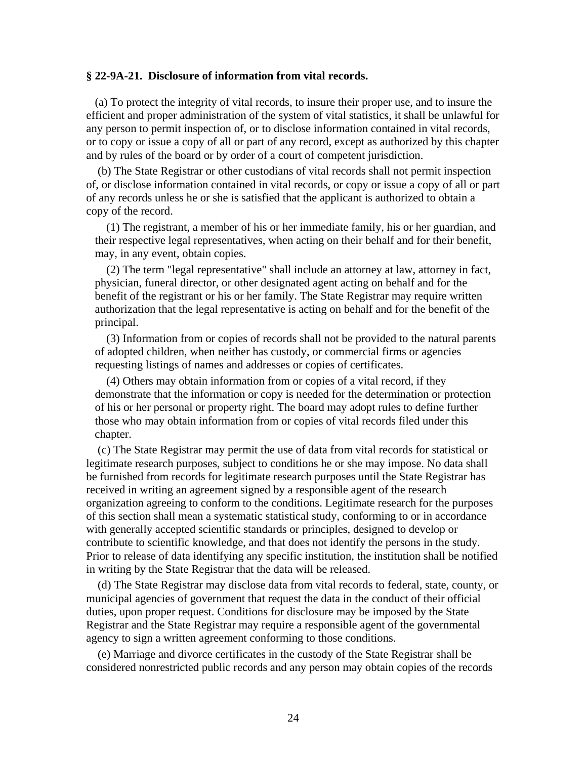#### **§ 22-9A-21. Disclosure of information from vital records.**

(a) To protect the integrity of vital records, to insure their proper use, and to insure the efficient and proper administration of the system of vital statistics, it shall be unlawful for any person to permit inspection of, or to disclose information contained in vital records, or to copy or issue a copy of all or part of any record, except as authorized by this chapter and by rules of the board or by order of a court of competent jurisdiction.

 (b) The State Registrar or other custodians of vital records shall not permit inspection of, or disclose information contained in vital records, or copy or issue a copy of all or part of any records unless he or she is satisfied that the applicant is authorized to obtain a copy of the record.

 (1) The registrant, a member of his or her immediate family, his or her guardian, and their respective legal representatives, when acting on their behalf and for their benefit, may, in any event, obtain copies.

 (2) The term "legal representative" shall include an attorney at law, attorney in fact, physician, funeral director, or other designated agent acting on behalf and for the benefit of the registrant or his or her family. The State Registrar may require written authorization that the legal representative is acting on behalf and for the benefit of the principal.

 (3) Information from or copies of records shall not be provided to the natural parents of adopted children, when neither has custody, or commercial firms or agencies requesting listings of names and addresses or copies of certificates.

 (4) Others may obtain information from or copies of a vital record, if they demonstrate that the information or copy is needed for the determination or protection of his or her personal or property right. The board may adopt rules to define further those who may obtain information from or copies of vital records filed under this chapter.

 (c) The State Registrar may permit the use of data from vital records for statistical or legitimate research purposes, subject to conditions he or she may impose. No data shall be furnished from records for legitimate research purposes until the State Registrar has received in writing an agreement signed by a responsible agent of the research organization agreeing to conform to the conditions. Legitimate research for the purposes of this section shall mean a systematic statistical study, conforming to or in accordance with generally accepted scientific standards or principles, designed to develop or contribute to scientific knowledge, and that does not identify the persons in the study. Prior to release of data identifying any specific institution, the institution shall be notified in writing by the State Registrar that the data will be released.

 (d) The State Registrar may disclose data from vital records to federal, state, county, or municipal agencies of government that request the data in the conduct of their official duties, upon proper request. Conditions for disclosure may be imposed by the State Registrar and the State Registrar may require a responsible agent of the governmental agency to sign a written agreement conforming to those conditions.

 (e) Marriage and divorce certificates in the custody of the State Registrar shall be considered nonrestricted public records and any person may obtain copies of the records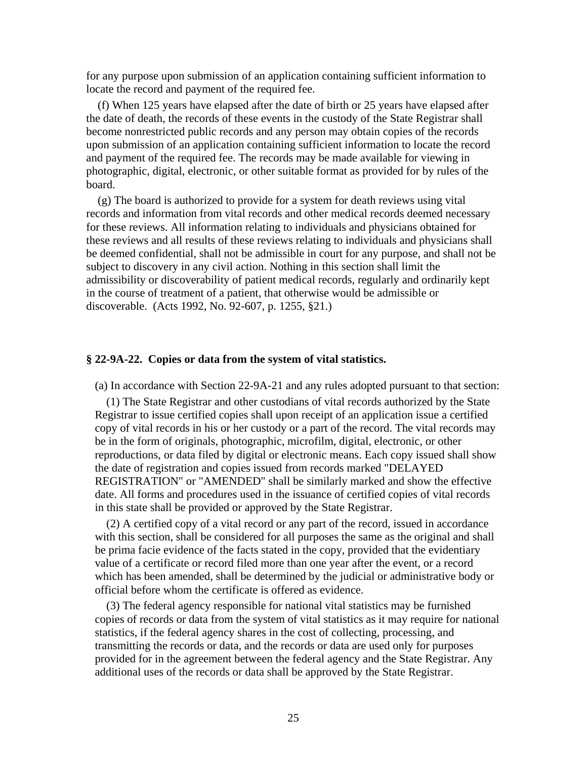for any purpose upon submission of an application containing sufficient information to locate the record and payment of the required fee.

 (f) When 125 years have elapsed after the date of birth or 25 years have elapsed after the date of death, the records of these events in the custody of the State Registrar shall become nonrestricted public records and any person may obtain copies of the records upon submission of an application containing sufficient information to locate the record and payment of the required fee. The records may be made available for viewing in photographic, digital, electronic, or other suitable format as provided for by rules of the board.

 (g) The board is authorized to provide for a system for death reviews using vital records and information from vital records and other medical records deemed necessary for these reviews. All information relating to individuals and physicians obtained for these reviews and all results of these reviews relating to individuals and physicians shall be deemed confidential, shall not be admissible in court for any purpose, and shall not be subject to discovery in any civil action. Nothing in this section shall limit the admissibility or discoverability of patient medical records, regularly and ordinarily kept in the course of treatment of a patient, that otherwise would be admissible or discoverable. (Acts 1992, No. 92-607, p. 1255, §21.)

#### **§ 22-9A-22. Copies or data from the system of vital statistics.**

(a) In accordance with Section 22-9A-21 and any rules adopted pursuant to that section:

 (1) The State Registrar and other custodians of vital records authorized by the State Registrar to issue certified copies shall upon receipt of an application issue a certified copy of vital records in his or her custody or a part of the record. The vital records may be in the form of originals, photographic, microfilm, digital, electronic, or other reproductions, or data filed by digital or electronic means. Each copy issued shall show the date of registration and copies issued from records marked "DELAYED REGISTRATION" or "AMENDED" shall be similarly marked and show the effective date. All forms and procedures used in the issuance of certified copies of vital records in this state shall be provided or approved by the State Registrar.

 (2) A certified copy of a vital record or any part of the record, issued in accordance with this section, shall be considered for all purposes the same as the original and shall be prima facie evidence of the facts stated in the copy, provided that the evidentiary value of a certificate or record filed more than one year after the event, or a record which has been amended, shall be determined by the judicial or administrative body or official before whom the certificate is offered as evidence.

 (3) The federal agency responsible for national vital statistics may be furnished copies of records or data from the system of vital statistics as it may require for national statistics, if the federal agency shares in the cost of collecting, processing, and transmitting the records or data, and the records or data are used only for purposes provided for in the agreement between the federal agency and the State Registrar. Any additional uses of the records or data shall be approved by the State Registrar.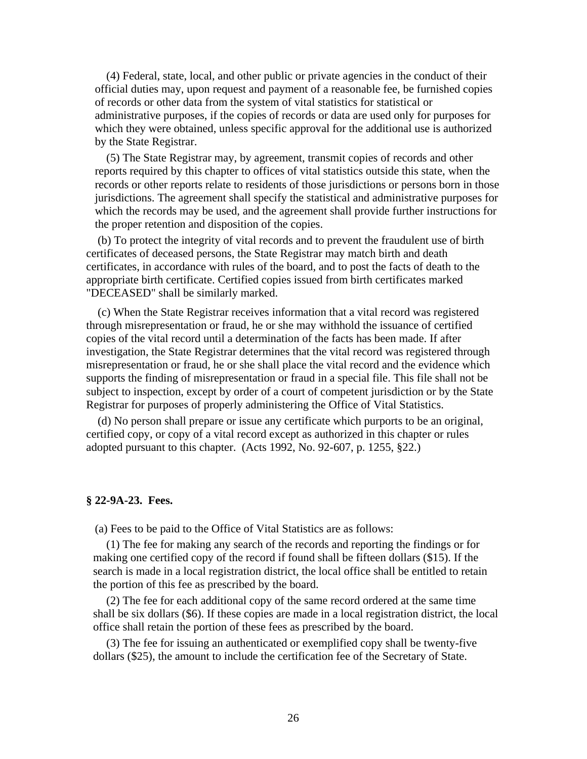(4) Federal, state, local, and other public or private agencies in the conduct of their official duties may, upon request and payment of a reasonable fee, be furnished copies of records or other data from the system of vital statistics for statistical or administrative purposes, if the copies of records or data are used only for purposes for which they were obtained, unless specific approval for the additional use is authorized by the State Registrar.

 (5) The State Registrar may, by agreement, transmit copies of records and other reports required by this chapter to offices of vital statistics outside this state, when the records or other reports relate to residents of those jurisdictions or persons born in those jurisdictions. The agreement shall specify the statistical and administrative purposes for which the records may be used, and the agreement shall provide further instructions for the proper retention and disposition of the copies.

 (b) To protect the integrity of vital records and to prevent the fraudulent use of birth certificates of deceased persons, the State Registrar may match birth and death certificates, in accordance with rules of the board, and to post the facts of death to the appropriate birth certificate. Certified copies issued from birth certificates marked "DECEASED" shall be similarly marked. Ï

 (c) When the State Registrar receives information that a vital record was registered through misrepresentation or fraud, he or she may withhold the issuance of certified copies of the vital record until a determination of the facts has been made. If after investigation, the State Registrar determines that the vital record was registered through misrepresentation or fraud, he or she shall place the vital record and the evidence which supports the finding of misrepresentation or fraud in a special file. This file shall not be subject to inspection, except by order of a court of competent jurisdiction or by the State Registrar for purposes of properly administering the Office of Vital Statistics.

 (d) No person shall prepare or issue any certificate which purports to be an original, certified copy, or copy of a vital record except as authorized in this chapter or rules adopted pursuant to this chapter. (Acts 1992, No. 92-607, p. 1255, §22.)

#### **§ 22-9A-23. Fees.**

(a) Fees to be paid to the Office of Vital Statistics are as follows:

 (1) The fee for making any search of the records and reporting the findings or for making one certified copy of the record if found shall be fifteen dollars (\$15). If the search is made in a local registration district, the local office shall be entitled to retain the portion of this fee as prescribed by the board.

 (2) The fee for each additional copy of the same record ordered at the same time shall be six dollars (\$6). If these copies are made in a local registration district, the local office shall retain the portion of these fees as prescribed by the board.

 (3) The fee for issuing an authenticated or exemplified copy shall be twenty-five dollars (\$25), the amount to include the certification fee of the Secretary of State.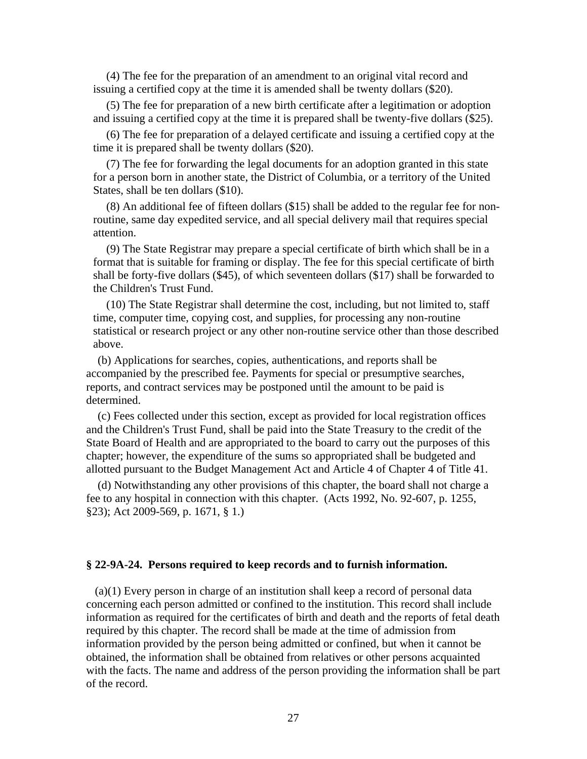(4) The fee for the preparation of an amendment to an original vital record and issuing a certified copy at the time it is amended shall be twenty dollars (\$20).

 (5) The fee for preparation of a new birth certificate after a legitimation or adoption and issuing a certified copy at the time it is prepared shall be twenty-five dollars (\$25).

 (6) The fee for preparation of a delayed certificate and issuing a certified copy at the time it is prepared shall be twenty dollars (\$20).

 (7) The fee for forwarding the legal documents for an adoption granted in this state for a person born in another state, the District of Columbia, or a territory of the United States, shall be ten dollars (\$10).

 (8) An additional fee of fifteen dollars (\$15) shall be added to the regular fee for nonroutine, same day expedited service, and all special delivery mail that requires special attention.

 (9) The State Registrar may prepare a special certificate of birth which shall be in a format that is suitable for framing or display. The fee for this special certificate of birth shall be forty-five dollars (\$45), of which seventeen dollars (\$17) shall be forwarded to the Children's Trust Fund.

 (10) The State Registrar shall determine the cost, including, but not limited to, staff time, computer time, copying cost, and supplies, for processing any non-routine statistical or research project or any other non-routine service other than those described above.

 (b) Applications for searches, copies, authentications, and reports shall be accompanied by the prescribed fee. Payments for special or presumptive searches, reports, and contract services may be postponed until the amount to be paid is determined.

 (c) Fees collected under this section, except as provided for local registration offices and the Children's Trust Fund, shall be paid into the State Treasury to the credit of the State Board of Health and are appropriated to the board to carry out the purposes of this chapter; however, the expenditure of the sums so appropriated shall be budgeted and allotted pursuant to the Budget Management Act and Article 4 of Chapter 4 of Title 41.

 (d) Notwithstanding any other provisions of this chapter, the board shall not charge a fee to any hospital in connection with this chapter. (Acts 1992, No. 92-607, p. 1255, §23); Act 2009-569, p. 1671, § 1.)

#### **§ 22-9A-24. Persons required to keep records and to furnish information.**

(a)(1) Every person in charge of an institution shall keep a record of personal data concerning each person admitted or confined to the institution. This record shall include information as required for the certificates of birth and death and the reports of fetal death required by this chapter. The record shall be made at the time of admission from information provided by the person being admitted or confined, but when it cannot be obtained, the information shall be obtained from relatives or other persons acquainted with the facts. The name and address of the person providing the information shall be part of the record.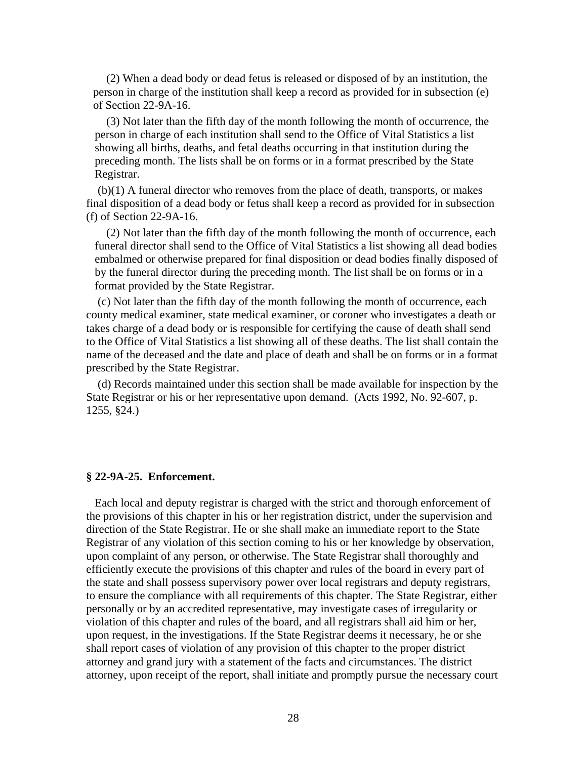(2) When a dead body or dead fetus is released or disposed of by an institution, the person in charge of the institution shall keep a record as provided for in subsection (e) of Section 22-9A-16.

 (3) Not later than the fifth day of the month following the month of occurrence, the person in charge of each institution shall send to the Office of Vital Statistics a list showing all births, deaths, and fetal deaths occurring in that institution during the preceding month. The lists shall be on forms or in a format prescribed by the State Registrar.

 (b)(1) A funeral director who removes from the place of death, transports, or makes final disposition of a dead body or fetus shall keep a record as provided for in subsection (f) of Section 22-9A-16.

 (2) Not later than the fifth day of the month following the month of occurrence, each funeral director shall send to the Office of Vital Statistics a list showing all dead bodies embalmed or otherwise prepared for final disposition or dead bodies finally disposed of by the funeral director during the preceding month. The list shall be on forms or in a format provided by the State Registrar.

 (c) Not later than the fifth day of the month following the month of occurrence, each county medical examiner, state medical examiner, or coroner who investigates a death or takes charge of a dead body or is responsible for certifying the cause of death shall send to the Office of Vital Statistics a list showing all of these deaths. The list shall contain the name of the deceased and the date and place of death and shall be on forms or in a format prescribed by the State Registrar.

 (d) Records maintained under this section shall be made available for inspection by the State Registrar or his or her representative upon demand. (Acts 1992, No. 92-607, p. 1255, §24.)

#### **§ 22-9A-25. Enforcement.**

Each local and deputy registrar is charged with the strict and thorough enforcement of the provisions of this chapter in his or her registration district, under the supervision and direction of the State Registrar. He or she shall make an immediate report to the State Registrar of any violation of this section coming to his or her knowledge by observation, upon complaint of any person, or otherwise. The State Registrar shall thoroughly and efficiently execute the provisions of this chapter and rules of the board in every part of the state and shall possess supervisory power over local registrars and deputy registrars, to ensure the compliance with all requirements of this chapter. The State Registrar, either personally or by an accredited representative, may investigate cases of irregularity or violation of this chapter and rules of the board, and all registrars shall aid him or her, upon request, in the investigations. If the State Registrar deems it necessary, he or she shall report cases of violation of any provision of this chapter to the proper district attorney and grand jury with a statement of the facts and circumstances. The district attorney, upon receipt of the report, shall initiate and promptly pursue the necessary court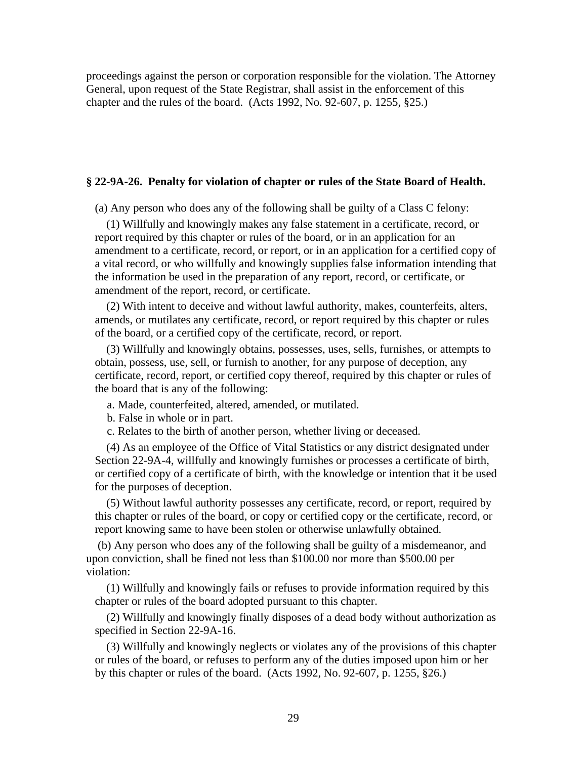proceedings against the person or corporation responsible for the violation. The Attorney General, upon request of the State Registrar, shall assist in the enforcement of this chapter and the rules of the board. (Acts 1992, No. 92-607, p. 1255, §25.)

#### **§ 22-9A-26. Penalty for violation of chapter or rules of the State Board of Health.**

(a) Any person who does any of the following shall be guilty of a Class C felony:

 (1) Willfully and knowingly makes any false statement in a certificate, record, or report required by this chapter or rules of the board, or in an application for an amendment to a certificate, record, or report, or in an application for a certified copy of a vital record, or who willfully and knowingly supplies false information intending that the information be used in the preparation of any report, record, or certificate, or amendment of the report, record, or certificate.

 (2) With intent to deceive and without lawful authority, makes, counterfeits, alters, amends, or mutilates any certificate, record, or report required by this chapter or rules of the board, or a certified copy of the certificate, record, or report.

 (3) Willfully and knowingly obtains, possesses, uses, sells, furnishes, or attempts to obtain, possess, use, sell, or furnish to another, for any purpose of deception, any certificate, record, report, or certified copy thereof, required by this chapter or rules of the board that is any of the following:

a. Made, counterfeited, altered, amended, or mutilated.

b. False in whole or in part.

c. Relates to the birth of another person, whether living or deceased.

 (4) As an employee of the Office of Vital Statistics or any district designated under Section 22-9A-4, willfully and knowingly furnishes or processes a certificate of birth, or certified copy of a certificate of birth, with the knowledge or intention that it be used for the purposes of deception.

 (5) Without lawful authority possesses any certificate, record, or report, required by this chapter or rules of the board, or copy or certified copy or the certificate, record, or report knowing same to have been stolen or otherwise unlawfully obtained.

 (b) Any person who does any of the following shall be guilty of a misdemeanor, and upon conviction, shall be fined not less than \$100.00 nor more than \$500.00 per violation:

 (1) Willfully and knowingly fails or refuses to provide information required by this chapter or rules of the board adopted pursuant to this chapter.

 (2) Willfully and knowingly finally disposes of a dead body without authorization as specified in Section 22-9A-16.

 (3) Willfully and knowingly neglects or violates any of the provisions of this chapter or rules of the board, or refuses to perform any of the duties imposed upon him or her by this chapter or rules of the board. (Acts 1992, No. 92-607, p. 1255, §26.)